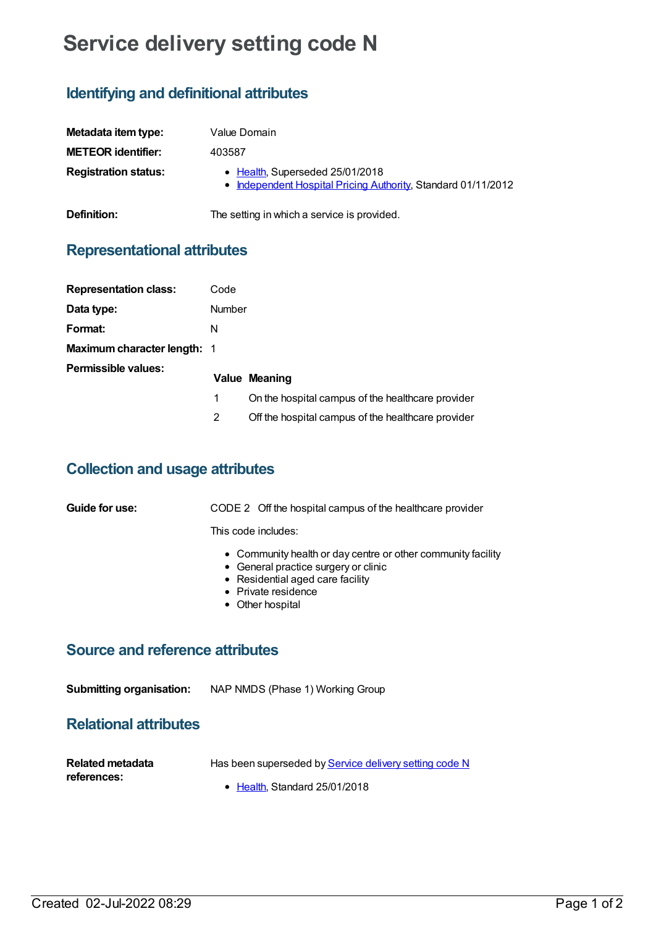# **Service delivery setting code N**

## **Identifying and definitional attributes**

| Metadata item type:         | Value Domain                                                                                     |
|-----------------------------|--------------------------------------------------------------------------------------------------|
| <b>METEOR identifier:</b>   | 403587                                                                                           |
| <b>Registration status:</b> | • Health, Superseded 25/01/2018<br>• Independent Hospital Pricing Authority, Standard 01/11/2012 |
| Definition:                 | The setting in which a service is provided.                                                      |

## **Representational attributes**

| <b>Representation class:</b>       | Code          |                                                    |
|------------------------------------|---------------|----------------------------------------------------|
| Data type:                         | <b>Number</b> |                                                    |
| Format:                            | N             |                                                    |
| <b>Maximum character length: 1</b> |               |                                                    |
| Permissible values:                |               | <b>Value Meaning</b>                               |
|                                    | 1             | On the hospital campus of the healthcare provider  |
|                                    | 2             | Off the hospital campus of the healthcare provider |

### **Collection and usage attributes**

| Guide for use: | CODE 2 Off the hospital campus of the healthcare provider                                                                                                                           |
|----------------|-------------------------------------------------------------------------------------------------------------------------------------------------------------------------------------|
|                | This code includes:                                                                                                                                                                 |
|                | • Community health or day centre or other community facility<br>• General practice surgery or clinic<br>• Residential aged care facility<br>• Private residence<br>• Other hospital |

#### **Source and reference attributes**

**Submitting organisation:** NAP NMDS (Phase 1) Working Group

### **Relational attributes**

| Related metadata | Has been superseded by <b>Service delivery setting code N</b> |
|------------------|---------------------------------------------------------------|
| references:      |                                                               |
|                  | $\bullet$ Health, Standard 25/01/2018                         |